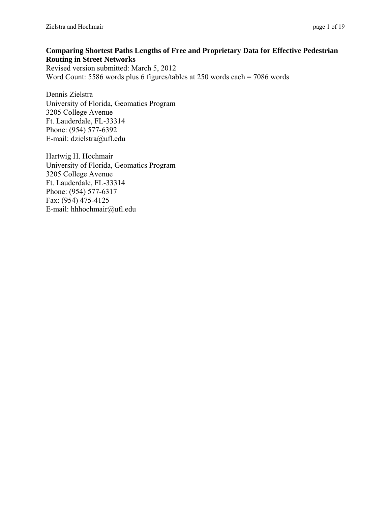#### **Comparing Shortest Paths Lengths of Free and Proprietary Data for Effective Pedestrian Routing in Street Networks**

Revised version submitted: March 5, 2012 Word Count: 5586 words plus 6 figures/tables at 250 words each = 7086 words

Dennis Zielstra University of Florida, Geomatics Program 3205 College Avenue Ft. Lauderdale, FL-33314 Phone: (954) 577-6392 E-mail: dzielstra@ufl.edu

Hartwig H. Hochmair University of Florida, Geomatics Program 3205 College Avenue Ft. Lauderdale, FL-33314 Phone: (954) 577-6317 Fax: (954) 475-4125 E-mail: hhhochmair@ufl.edu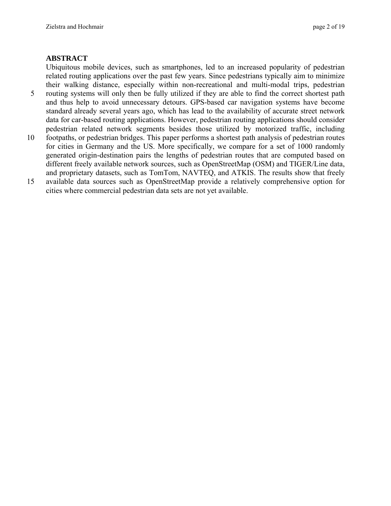#### **ABSTRACT**

Ubiquitous mobile devices, such as smartphones, led to an increased popularity of pedestrian related routing applications over the past few years. Since pedestrians typically aim to minimize their walking distance, especially within non-recreational and multi-modal trips, pedestrian 5 routing systems will only then be fully utilized if they are able to find the correct shortest path and thus help to avoid unnecessary detours. GPS-based car navigation systems have become standard already several years ago, which has lead to the availability of accurate street network data for car-based routing applications. However, pedestrian routing applications should consider pedestrian related network segments besides those utilized by motorized traffic, including

- 10 footpaths, or pedestrian bridges. This paper performs a shortest path analysis of pedestrian routes for cities in Germany and the US. More specifically, we compare for a set of 1000 randomly generated origin-destination pairs the lengths of pedestrian routes that are computed based on different freely available network sources, such as OpenStreetMap (OSM) and TIGER/Line data, and proprietary datasets, such as TomTom, NAVTEQ, and ATKIS. The results show that freely
- 15 available data sources such as OpenStreetMap provide a relatively comprehensive option for cities where commercial pedestrian data sets are not yet available.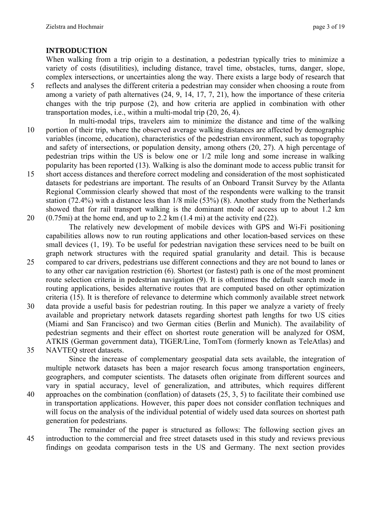### **INTRODUCTION**

When walking from a trip origin to a destination, a pedestrian typically tries to minimize a variety of costs (disutilities), including distance, travel time, obstacles, turns, danger, slope, complex intersections, or uncertainties along the way. There exists a large body of research that

- 5 reflects and analyses the different criteria a pedestrian may consider when choosing a route from among a variety of path alternatives (24, 9, 14, 17, 7, 21), how the importance of these criteria changes with the trip purpose (2), and how criteria are applied in combination with other transportation modes, i.e., within a multi-modal trip (20, 26, 4).
- In multi-modal trips, travelers aim to minimize the distance and time of the walking 10 portion of their trip, where the observed average walking distances are affected by demographic variables (income, education), characteristics of the pedestrian environment, such as topography and safety of intersections, or population density, among others (20, 27). A high percentage of pedestrian trips within the US is below one or 1/2 mile long and some increase in walking popularity has been reported (13). Walking is also the dominant mode to access public transit for
- 15 short access distances and therefore correct modeling and consideration of the most sophisticated datasets for pedestrians are important. The results of an Onboard Transit Survey by the Atlanta Regional Commission clearly showed that most of the respondents were walking to the transit station (72.4%) with a distance less than 1/8 mile (53%) (8). Another study from the Netherlands showed that for rail transport walking is the dominant mode of access up to about 1.2 km 20  $(0.75mi)$  at the home end, and up to 2.2 km  $(1.4 mi)$  at the activity end  $(22)$ .

The relatively new development of mobile devices with GPS and Wi-Fi positioning capabilities allows now to run routing applications and other location-based services on these small devices (1, 19). To be useful for pedestrian navigation these services need to be built on graph network structures with the required spatial granularity and detail. This is because

- 25 compared to car drivers, pedestrians use different connections and they are not bound to lanes or to any other car navigation restriction (6). Shortest (or fastest) path is one of the most prominent route selection criteria in pedestrian navigation (9). It is oftentimes the default search mode in routing applications, besides alternative routes that are computed based on other optimization criteria (15). It is therefore of relevance to determine which commonly available street network
- 30 data provide a useful basis for pedestrian routing. In this paper we analyze a variety of freely available and proprietary network datasets regarding shortest path lengths for two US cities (Miami and San Francisco) and two German cities (Berlin and Munich). The availability of pedestrian segments and their effect on shortest route generation will be analyzed for OSM, ATKIS (German government data), TIGER/Line, TomTom (formerly known as TeleAtlas) and
- 35 NAVTEQ street datasets.

Since the increase of complementary geospatial data sets available, the integration of multiple network datasets has been a major research focus among transportation engineers, geographers, and computer scientists. The datasets often originate from different sources and vary in spatial accuracy, level of generalization, and attributes, which requires different 40 approaches on the combination (conflation) of datasets (25, 3, 5) to facilitate their combined use in transportation applications. However, this paper does not consider conflation techniques and

- will focus on the analysis of the individual potential of widely used data sources on shortest path generation for pedestrians. The remainder of the paper is structured as follows: The following section gives an
- 45 introduction to the commercial and free street datasets used in this study and reviews previous findings on geodata comparison tests in the US and Germany. The next section provides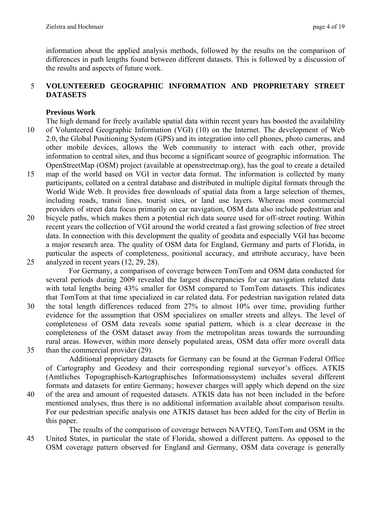information about the applied analysis methods, followed by the results on the comparison of differences in path lengths found between different datasets. This is followed by a discussion of the results and aspects of future work.

### 5 **VOLUNTEERED GEOGRAPHIC INFORMATION AND PROPRIETARY STREET DATASETS**

### **Previous Work**

- The high demand for freely available spatial data within recent years has boosted the availability 10 of Volunteered Geographic Information (VGI) (10) on the Internet. The development of Web 2.0, the Global Positioning System (GPS) and its integration into cell phones, photo cameras, and other mobile devices, allows the Web community to interact with each other, provide information to central sites, and thus become a significant source of geographic information. The OpenStreetMap (OSM) project (available at openstreetmap.org), has the goal to create a detailed
- 15 map of the world based on VGI in vector data format. The information is collected by many participants, collated on a central database and distributed in multiple digital formats through the World Wide Web. It provides free downloads of spatial data from a large selection of themes, including roads, transit lines, tourist sites, or land use layers. Whereas most commercial providers of street data focus primarily on car navigation, OSM data also include pedestrian and
- 20 bicycle paths, which makes them a potential rich data source used for off-street routing. Within recent years the collection of VGI around the world created a fast growing selection of free street data. In connection with this development the quality of geodata and especially VGI has become a major research area. The quality of OSM data for England, Germany and parts of Florida, in particular the aspects of completeness, positional accuracy, and attribute accuracy, have been
- 25 analyzed in recent years (12, 29, 28).

For Germany, a comparison of coverage between TomTom and OSM data conducted for several periods during 2009 revealed the largest discrepancies for car navigation related data with total lengths being 43% smaller for OSM compared to TomTom datasets. This indicates that TomTom at that time specialized in car related data. For pedestrian navigation related data

- 30 the total length differences reduced from 27% to almost 10% over time, providing further evidence for the assumption that OSM specializes on smaller streets and alleys. The level of completeness of OSM data reveals some spatial pattern, which is a clear decrease in the completeness of the OSM dataset away from the metropolitan areas towards the surrounding rural areas. However, within more densely populated areas, OSM data offer more overall data 35 than the commercial provider (29).
	- Additional proprietary datasets for Germany can be found at the German Federal Office of Cartography and Geodesy and their corresponding regional surveyor's offices. ATKIS (Amtliches Topographisch-Kartographisches Informationssystem) includes several different formats and datasets for entire Germany; however charges will apply which depend on the size
- 40 of the area and amount of requested datasets. ATKIS data has not been included in the before mentioned analyses, thus there is no additional information available about comparison results. For our pedestrian specific analysis one ATKIS dataset has been added for the city of Berlin in this paper.

The results of the comparison of coverage between NAVTEQ, TomTom and OSM in the 45 United States, in particular the state of Florida, showed a different pattern. As opposed to the OSM coverage pattern observed for England and Germany, OSM data coverage is generally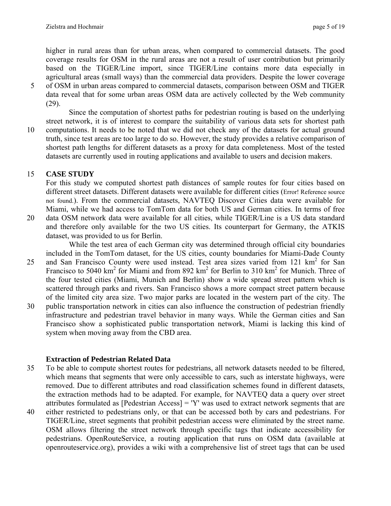higher in rural areas than for urban areas, when compared to commercial datasets. The good coverage results for OSM in the rural areas are not a result of user contribution but primarily based on the TIGER/Line import, since TIGER/Line contains more data especially in agricultural areas (small ways) than the commercial data providers. Despite the lower coverage

5 of OSM in urban areas compared to commercial datasets, comparison between OSM and TIGER data reveal that for some urban areas OSM data are actively collected by the Web community (29).

Since the computation of shortest paths for pedestrian routing is based on the underlying street network, it is of interest to compare the suitability of various data sets for shortest path 10 computations. It needs to be noted that we did not check any of the datasets for actual ground truth, since test areas are too large to do so. However, the study provides a relative comparison of shortest path lengths for different datasets as a proxy for data completeness. Most of the tested datasets are currently used in routing applications and available to users and decision makers.

# 15 **CASE STUDY**

For this study we computed shortest path distances of sample routes for four cities based on different street datasets. Different datasets were available for different cities (Error! Reference source not found.). From the commercial datasets, NAVTEQ Discover Cities data were available for Miami, while we had access to TomTom data for both US and German cities. In terms of free

20 data OSM network data were available for all cities, while TIGER/Line is a US data standard and therefore only available for the two US cities. Its counterpart for Germany, the ATKIS dataset, was provided to us for Berlin.

While the test area of each German city was determined through official city boundaries included in the TomTom dataset, for the US cities, county boundaries for Miami-Dade County 25 and San Francisco County were used instead. Test area sizes varied from 121  $\text{km}^2$  for San Francisco to 5040 km<sup>2</sup> for Miami and from 892 km<sup>2</sup> for Berlin to 310 km<sup>2</sup> for Munich. Three of

the four tested cities (Miami, Munich and Berlin) show a wide spread street pattern which is scattered through parks and rivers. San Francisco shows a more compact street pattern because of the limited city area size. Two major parks are located in the western part of the city. The 30 public transportation network in cities can also influence the construction of pedestrian friendly infrastructure and pedestrian travel behavior in many ways. While the German cities and San Francisco show a sophisticated public transportation network, Miami is lacking this kind of system when moving away from the CBD area.

# **Extraction of Pedestrian Related Data**

- 35 To be able to compute shortest routes for pedestrians, all network datasets needed to be filtered, which means that segments that were only accessible to cars, such as interstate highways, were removed. Due to different attributes and road classification schemes found in different datasets, the extraction methods had to be adapted. For example, for NAVTEQ data a query over street attributes formulated as [Pedestrian Access] = 'Y' was used to extract network segments that are
- 40 either restricted to pedestrians only, or that can be accessed both by cars and pedestrians. For TIGER/Line, street segments that prohibit pedestrian access were eliminated by the street name. OSM allows filtering the street network through specific tags that indicate accessibility for pedestrians. OpenRouteService, a routing application that runs on OSM data (available at openrouteservice.org), provides a wiki with a comprehensive list of street tags that can be used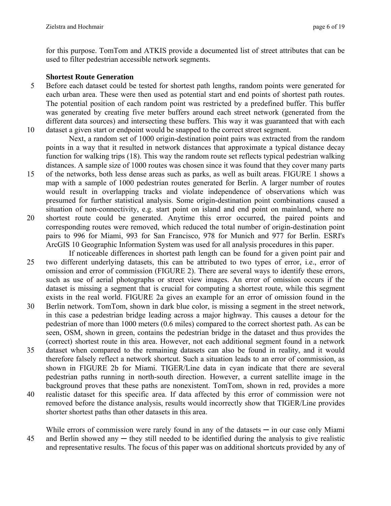for this purpose. TomTom and ATKIS provide a documented list of street attributes that can be used to filter pedestrian accessible network segments.

#### **Shortest Route Generation**

5 Before each dataset could be tested for shortest path lengths, random points were generated for each urban area. These were then used as potential start and end points of shortest path routes. The potential position of each random point was restricted by a predefined buffer. This buffer was generated by creating five meter buffers around each street network (generated from the different data sources) and intersecting these buffers. This way it was guaranteed that with each 10 dataset a given start or endpoint would be snapped to the correct street segment.

Next, a random set of 1000 origin-destination point pairs was extracted from the random points in a way that it resulted in network distances that approximate a typical distance decay function for walking trips (18). This way the random route set reflects typical pedestrian walking distances. A sample size of 1000 routes was chosen since it was found that they cover many parts

- 15 of the networks, both less dense areas such as parks, as well as built areas. FIGURE 1 shows a map with a sample of 1000 pedestrian routes generated for Berlin. A larger number of routes would result in overlapping tracks and violate independence of observations which was presumed for further statistical analysis. Some origin-destination point combinations caused a situation of non-connectivity, e.g. start point on island and end point on mainland, where no
- 20 shortest route could be generated. Anytime this error occurred, the paired points and corresponding routes were removed, which reduced the total number of origin-destination point pairs to 996 for Miami, 993 for San Francisco, 978 for Munich and 977 for Berlin. ESRI's ArcGIS 10 Geographic Information System was used for all analysis procedures in this paper.
- If noticeable differences in shortest path length can be found for a given point pair and 25 two different underlying datasets, this can be attributed to two types of error, i.e., error of omission and error of commission (FIGURE 2). There are several ways to identify these errors, such as use of aerial photographs or street view images. An error of omission occurs if the dataset is missing a segment that is crucial for computing a shortest route, while this segment exists in the real world. FIGURE 2a gives an example for an error of omission found in the
- 30 Berlin network. TomTom, shown in dark blue color, is missing a segment in the street network, in this case a pedestrian bridge leading across a major highway. This causes a detour for the pedestrian of more than 1000 meters (0.6 miles) compared to the correct shortest path. As can be seen, OSM, shown in green, contains the pedestrian bridge in the dataset and thus provides the (correct) shortest route in this area. However, not each additional segment found in a network
- 35 dataset when compared to the remaining datasets can also be found in reality, and it would therefore falsely reflect a network shortcut. Such a situation leads to an error of commission, as shown in FIGURE 2b for Miami. TIGER/Line data in cyan indicate that there are several pedestrian paths running in north-south direction. However, a current satellite image in the background proves that these paths are nonexistent. TomTom, shown in red, provides a more
- 40 realistic dataset for this specific area. If data affected by this error of commission were not removed before the distance analysis, results would incorrectly show that TIGER/Line provides shorter shortest paths than other datasets in this area.

While errors of commission were rarely found in any of the datasets  $-$  in our case only Miami 45 and Berlin showed any — they still needed to be identified during the analysis to give realistic and representative results. The focus of this paper was on additional shortcuts provided by any of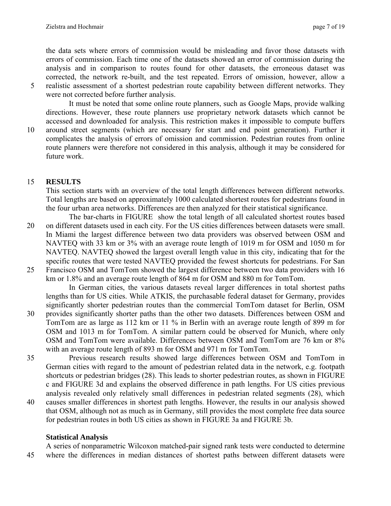the data sets where errors of commission would be misleading and favor those datasets with errors of commission. Each time one of the datasets showed an error of commission during the analysis and in comparison to routes found for other datasets, the erroneous dataset was corrected, the network re-built, and the test repeated. Errors of omission, however, allow a 5 realistic assessment of a shortest pedestrian route capability between different networks. They

were not corrected before further analysis.

It must be noted that some online route planners, such as Google Maps, provide walking directions. However, these route planners use proprietary network datasets which cannot be accessed and downloaded for analysis. This restriction makes it impossible to compute buffers

10 around street segments (which are necessary for start and end point generation). Further it complicates the analysis of errors of omission and commission. Pedestrian routes from online route planners were therefore not considered in this analysis, although it may be considered for future work.

# 15 **RESULTS**

This section starts with an overview of the total length differences between different networks. Total lengths are based on approximately 1000 calculated shortest routes for pedestrians found in the four urban area networks. Differences are then analyzed for their statistical significance.

- The bar-charts in FIGURE show the total length of all calculated shortest routes based 20 on different datasets used in each city. For the US cities differences between datasets were small. In Miami the largest difference between two data providers was observed between OSM and NAVTEQ with 33 km or 3% with an average route length of 1019 m for OSM and 1050 m for NAVTEQ. NAVTEQ showed the largest overall length value in this city, indicating that for the specific routes that were tested NAVTEQ provided the fewest shortcuts for pedestrians. For San
- 25 Francisco OSM and TomTom showed the largest difference between two data providers with 16 km or 1.8% and an average route length of 864 m for OSM and 880 m for TomTom.

In German cities, the various datasets reveal larger differences in total shortest paths lengths than for US cities. While ATKIS, the purchasable federal dataset for Germany, provides significantly shorter pedestrian routes than the commercial TomTom dataset for Berlin, OSM

- 30 provides significantly shorter paths than the other two datasets. Differences between OSM and TomTom are as large as 112 km or 11 % in Berlin with an average route length of 899 m for OSM and 1013 m for TomTom. A similar pattern could be observed for Munich, where only OSM and TomTom were available. Differences between OSM and TomTom are 76 km or 8% with an average route length of 893 m for OSM and 971 m for TomTom.
- 35 Previous research results showed large differences between OSM and TomTom in German cities with regard to the amount of pedestrian related data in the network, e.g. footpath shortcuts or pedestrian bridges (28). This leads to shorter pedestrian routes, as shown in FIGURE c and FIGURE 3d and explains the observed difference in path lengths. For US cities previous analysis revealed only relatively small differences in pedestrian related segments (28), which
- 40 causes smaller differences in shortest path lengths. However, the results in our analysis showed that OSM, although not as much as in Germany, still provides the most complete free data source for pedestrian routes in both US cities as shown in FIGURE 3a and FIGURE 3b.

# **Statistical Analysis**

A series of nonparametric Wilcoxon matched-pair signed rank tests were conducted to determine 45 where the differences in median distances of shortest paths between different datasets were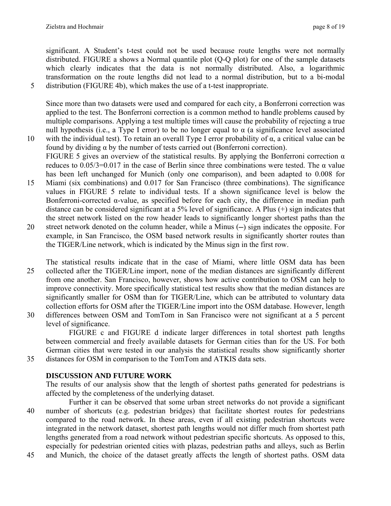significant. A Student's t-test could not be used because route lengths were not normally distributed. FIGURE a shows a Normal quantile plot (Q-Q plot) for one of the sample datasets which clearly indicates that the data is not normally distributed. Also, a logarithmic transformation on the route lengths did not lead to a normal distribution, but to a bi-modal 5 distribution (FIGURE 4b), which makes the use of a t-test inappropriate.

Since more than two datasets were used and compared for each city, a Bonferroni correction was applied to the test. The Bonferroni correction is a common method to handle problems caused by multiple comparisons. Applying a test multiple times will cause the probability of rejecting a true null hypothesis (i.e., a Type I error) to be no longer equal to  $\alpha$  (a significance level associated

- 10 with the individual test). To retain an overall Type I error probability of  $\alpha$ , a critical value can be found by dividing  $\alpha$  by the number of tests carried out (Bonferroni correction). FIGURE 5 gives an overview of the statistical results. By applying the Bonferroni correction  $\alpha$ reduces to  $0.05/3=0.017$  in the case of Berlin since three combinations were tested. The  $\alpha$  value has been left unchanged for Munich (only one comparison), and been adapted to 0.008 for
- 15 Miami (six combinations) and 0.017 for San Francisco (three combinations). The significance values in FIGURE 5 relate to individual tests. If a shown significance level is below the Bonferroni-corrected α-value, as specified before for each city, the difference in median path distance can be considered significant at a 5% level of significance. A Plus (+) sign indicates that the street network listed on the row header leads to significantly longer shortest paths than the
- 20 street network denoted on the column header, while a Minus (—) sign indicates the opposite. For example, in San Francisco, the OSM based network results in significantly shorter routes than the TIGER/Line network, which is indicated by the Minus sign in the first row.
- The statistical results indicate that in the case of Miami, where little OSM data has been 25 collected after the TIGER/Line import, none of the median distances are significantly different from one another. San Francisco, however, shows how active contribution to OSM can help to improve connectivity. More specifically statistical test results show that the median distances are significantly smaller for OSM than for TIGER/Line, which can be attributed to voluntary data collection efforts for OSM after the TIGER/Line import into the OSM database. However, length
- 30 differences between OSM and TomTom in San Francisco were not significant at a 5 percent level of significance.

FIGURE c and FIGURE d indicate larger differences in total shortest path lengths between commercial and freely available datasets for German cities than for the US. For both German cities that were tested in our analysis the statistical results show significantly shorter 35 distances for OSM in comparison to the TomTom and ATKIS data sets.

# **DISCUSSION AND FUTURE WORK**

The results of our analysis show that the length of shortest paths generated for pedestrians is affected by the completeness of the underlying dataset.

- Further it can be observed that some urban street networks do not provide a significant 40 number of shortcuts (e.g. pedestrian bridges) that facilitate shortest routes for pedestrians compared to the road network. In these areas, even if all existing pedestrian shortcuts were integrated in the network dataset, shortest path lengths would not differ much from shortest path lengths generated from a road network without pedestrian specific shortcuts. As opposed to this, especially for pedestrian oriented cities with plazas, pedestrian paths and alleys, such as Berlin
- 45 and Munich, the choice of the dataset greatly affects the length of shortest paths. OSM data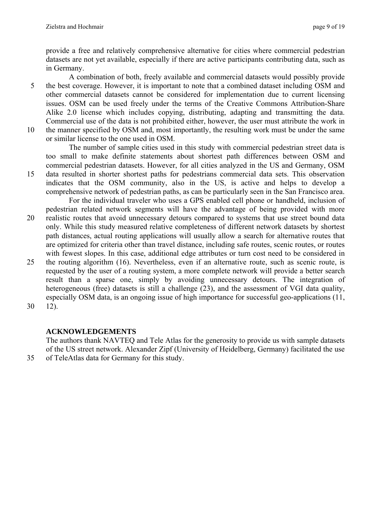provide a free and relatively comprehensive alternative for cities where commercial pedestrian datasets are not yet available, especially if there are active participants contributing data, such as in Germany.

A combination of both, freely available and commercial datasets would possibly provide 5 the best coverage. However, it is important to note that a combined dataset including OSM and other commercial datasets cannot be considered for implementation due to current licensing issues. OSM can be used freely under the terms of the Creative Commons Attribution-Share Alike 2.0 license which includes copying, distributing, adapting and transmitting the data. Commercial use of the data is not prohibited either, however, the user must attribute the work in 10 the manner specified by OSM and, most importantly, the resulting work must be under the same

or similar license to the one used in OSM.

The number of sample cities used in this study with commercial pedestrian street data is too small to make definite statements about shortest path differences between OSM and commercial pedestrian datasets. However, for all cities analyzed in the US and Germany, OSM

- 15 data resulted in shorter shortest paths for pedestrians commercial data sets. This observation indicates that the OSM community, also in the US, is active and helps to develop a comprehensive network of pedestrian paths, as can be particularly seen in the San Francisco area. For the individual traveler who uses a GPS enabled cell phone or handheld, inclusion of
- pedestrian related network segments will have the advantage of being provided with more 20 realistic routes that avoid unnecessary detours compared to systems that use street bound data only. While this study measured relative completeness of different network datasets by shortest path distances, actual routing applications will usually allow a search for alternative routes that are optimized for criteria other than travel distance, including safe routes, scenic routes, or routes with fewest slopes. In this case, additional edge attributes or turn cost need to be considered in
- 25 the routing algorithm (16). Nevertheless, even if an alternative route, such as scenic route, is requested by the user of a routing system, a more complete network will provide a better search result than a sparse one, simply by avoiding unnecessary detours. The integration of heterogeneous (free) datasets is still a challenge (23), and the assessment of VGI data quality, especially OSM data, is an ongoing issue of high importance for successful geo-applications (11,
- 30 12).

# **ACKNOWLEDGEMENTS**

The authors thank NAVTEQ and Tele Atlas for the generosity to provide us with sample datasets of the US street network. Alexander Zipf (University of Heidelberg, Germany) facilitated the use 35 of TeleAtlas data for Germany for this study.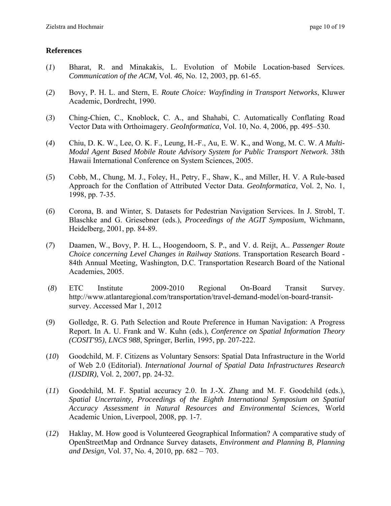#### **References**

- (*1*) Bharat, R. and Minakakis, L. Evolution of Mobile Location-based Services. *Communication of the ACM*, Vol. *46*, No. 12, 2003, pp. 61-65.
- (*2*) Bovy, P. H. L. and Stern, E. *Route Choice: Wayfinding in Transport Networks*, Kluwer Academic, Dordrecht, 1990.
- (*3*) Ching-Chien, C., Knoblock, C. A., and Shahabi, C. Automatically Conflating Road Vector Data with Orthoimagery. *GeoInformatica*, Vol. 10, No. 4, 2006, pp. 495–530.
- (*4*) Chiu, D. K. W., Lee, O. K. F., Leung, H.-F., Au, E. W. K., and Wong, M. C. W. *A Multi-Modal Agent Based Mobile Route Advisory System for Public Transport Network*. 38th Hawaii International Conference on System Sciences, 2005.
- (*5*) Cobb, M., Chung, M. J., Foley, H., Petry, F., Shaw, K., and Miller, H. V. A Rule-based Approach for the Conflation of Attributed Vector Data. *GeoInformatica*, Vol. 2, No. 1, 1998, pp. 7-35.
- (*6*) Corona, B. and Winter, S. Datasets for Pedestrian Navigation Services. In J. Strobl, T. Blaschke and G. Griesebner (eds.), *Proceedings of the AGIT Symposium*, Wichmann, Heidelberg, 2001, pp. 84-89.
- (*7*) Daamen, W., Bovy, P. H. L., Hoogendoorn, S. P., and V. d. Reijt, A.. *Passenger Route Choice concerning Level Changes in Railway Stations*. Transportation Research Board - 84th Annual Meeting, Washington, D.C. Transportation Research Board of the National Academies, 2005.
- (*8*) ETC Institute 2009-2010 Regional On-Board Transit Survey. http://www.atlantaregional.com/transportation/travel-demand-model/on-board-transitsurvey. Accessed Mar 1, 2012
- (*9*) Golledge, R. G. Path Selection and Route Preference in Human Navigation: A Progress Report. In A. U. Frank and W. Kuhn (eds.), *Conference on Spatial Information Theory (COSIT'95)*, *LNCS 988*, Springer, Berlin, 1995, pp. 207-222.
- (*10*) Goodchild, M. F. Citizens as Voluntary Sensors: Spatial Data Infrastructure in the World of Web 2.0 (Editorial). *International Journal of Spatial Data Infrastructures Research (IJSDIR)*, Vol. 2, 2007, pp. 24-32.
- (*11*) Goodchild, M. F. Spatial accuracy 2.0. In J.-X. Zhang and M. F. Goodchild (eds.), *Spatial Uncertainty, Proceedings of the Eighth International Symposium on Spatial Accuracy Assessment in Natural Resources and Environmental Science*s, World Academic Union, Liverpool, 2008, pp. 1-7.
- (*12*) Haklay, M. How good is Volunteered Geographical Information? A comparative study of OpenStreetMap and Ordnance Survey datasets, *Environment and Planning B, Planning and Design*, Vol. 37, No. 4, 2010, pp. 682 – 703.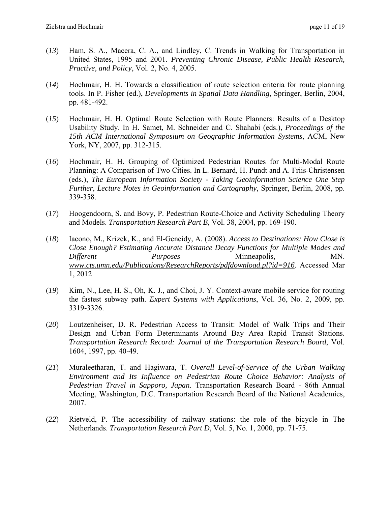- (*13*) Ham, S. A., Macera, C. A., and Lindley, C. Trends in Walking for Transportation in United States, 1995 and 2001. *Preventing Chronic Disease, Public Health Research, Practive, and Policy*, Vol. 2, No. 4, 2005.
- (*14*) Hochmair, H. H. Towards a classification of route selection criteria for route planning tools. In P. Fisher (ed.), *Developments in Spatial Data Handling*, Springer, Berlin, 2004, pp. 481-492.
- (*15*) Hochmair, H. H. Optimal Route Selection with Route Planners: Results of a Desktop Usability Study. In H. Samet, M. Schneider and C. Shahabi (eds.), *Proceedings of the 15th ACM International Symposium on Geographic Information Systems*, ACM, New York, NY, 2007, pp. 312-315.
- (*16*) Hochmair, H. H. Grouping of Optimized Pedestrian Routes for Multi-Modal Route Planning: A Comparison of Two Cities. In L. Bernard, H. Pundt and A. Friis-Christensen (eds.), *The European Information Society - Taking Geoinformation Science One Step Further*, *Lecture Notes in Geoinformation and Cartography*, Springer, Berlin, 2008, pp. 339-358.
- (*17*) Hoogendoorn, S. and Bovy, P. Pedestrian Route-Choice and Activity Scheduling Theory and Models. *Transportation Research Part B*, Vol. 38, 2004, pp. 169-190.
- (*18*) Iacono, M., Krizek, K., and El-Geneidy, A. (2008). *Access to Destinations: How Close is Close Enough? Estimating Accurate Distance Decay Functions for Multiple Modes and Different Purposes* Minneapolis, MN. *www.cts.umn.edu/Publications/ResearchReports/pdfdownload.pl?id=916*. Accessed Mar 1, 2012
- (*19*) Kim, N., Lee, H. S., Oh, K. J., and Choi, J. Y. Context-aware mobile service for routing the fastest subway path. *Expert Systems with Applications*, Vol. 36, No. 2, 2009, pp. 3319-3326.
- (*20*) Loutzenheiser, D. R. Pedestrian Access to Transit: Model of Walk Trips and Their Design and Urban Form Determinants Around Bay Area Rapid Transit Stations. *Transportation Research Record: Journal of the Transportation Research Board*, Vol. 1604, 1997, pp. 40-49.
- (*21*) Muraleetharan, T. and Hagiwara, T. *Overall Level-of-Service of the Urban Walking Environment and Its Influence on Pedestrian Route Choice Behavior: Analysis of Pedestrian Travel in Sapporo, Japan*. Transportation Research Board - 86th Annual Meeting, Washington, D.C. Transportation Research Board of the National Academies, 2007.
- (*22*) Rietveld, P. The accessibility of railway stations: the role of the bicycle in The Netherlands. *Transportation Research Part D*, Vol. 5, No. 1, 2000, pp. 71-75.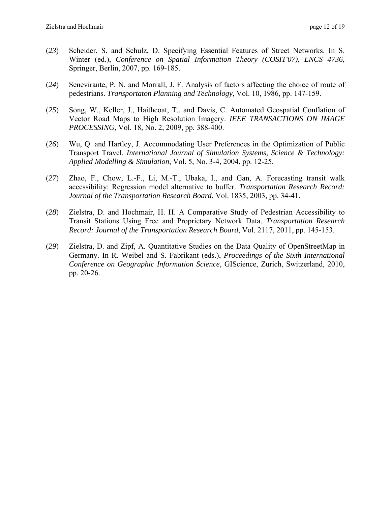- (*23*) Scheider, S. and Schulz, D. Specifying Essential Features of Street Networks. In S. Winter (ed.), *Conference on Spatial Information Theory (COSIT'07)*, *LNCS 4736*, Springer, Berlin, 2007, pp. 169-185.
- (*24*) Senevirante, P. N. and Morrall, J. F. Analysis of factors affecting the choice of route of pedestrians. *Transportaton Planning and Technology*, Vol. 10, 1986, pp. 147-159.
- (*25*) Song, W., Keller, J., Haithcoat, T., and Davis, C. Automated Geospatial Conflation of Vector Road Maps to High Resolution Imagery. *IEEE TRANSACTIONS ON IMAGE PROCESSING*, Vol. 18*,* No. 2, 2009, pp. 388-400.
- (*26*) Wu, Q. and Hartley, J. Accommodating User Preferences in the Optimization of Public Transport Travel. *International Journal of Simulation Systems, Science & Technology: Applied Modelling & Simulation*, Vol. 5, No. 3-4, 2004, pp. 12-25.
- (*27*) Zhao, F., Chow, L.-F., Li, M.-T., Ubaka, I., and Gan, A. Forecasting transit walk accessibility: Regression model alternative to buffer. *Transportation Research Record: Journal of the Transportation Research Board*, Vol. 1835, 2003, pp. 34-41.
- (*28*) Zielstra, D. and Hochmair, H. H. A Comparative Study of Pedestrian Accessibility to Transit Stations Using Free and Proprietary Network Data. *Transportation Research Record: Journal of the Transportation Research Board*, Vol. 2117, 2011, pp. 145-153.
- (*29*) Zielstra, D. and Zipf, A. Quantitative Studies on the Data Quality of OpenStreetMap in Germany. In R. Weibel and S. Fabrikant (eds.), *Proceedings of the Sixth International Conference on Geographic Information Science*, GIScience, Zurich, Switzerland, 2010, pp. 20-26.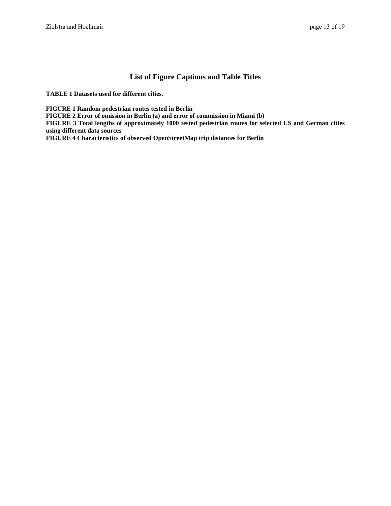#### **List of Figure Captions and Table Titles**

**TABLE 1 Datasets used for different cities.** 

**FIGURE 1 Random pedestrian routes tested in Berlin** 

**FIGURE 2 Error of omission in Berlin (a) and error of commission in Miami (b)** 

**FIGURE 3 Total lengths of approximately 1000 tested pedestrian routes for selected US and German cities using different data sources** 

**FIGURE 4 Characteristics of observed OpenStreetMap trip distances for Berlin**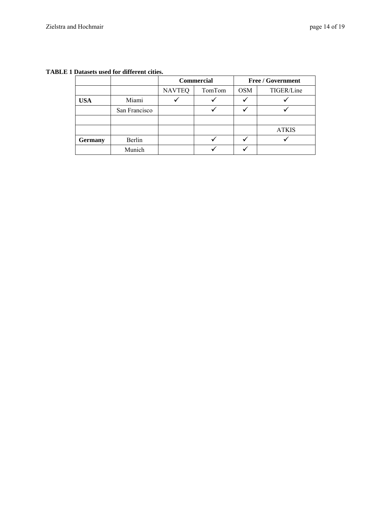#### **TABLE 1 Datasets used for different cities.**

|                |               | <b>Commercial</b> |        | <b>Free / Government</b> |              |
|----------------|---------------|-------------------|--------|--------------------------|--------------|
|                |               | <b>NAVTEQ</b>     | TomTom | <b>OSM</b>               | TIGER/Line   |
| <b>USA</b>     | Miami         |                   |        |                          |              |
|                | San Francisco |                   |        |                          |              |
|                |               |                   |        |                          |              |
|                |               |                   |        |                          | <b>ATKIS</b> |
| <b>Germany</b> | Berlin        |                   |        |                          |              |
|                | Munich        |                   |        |                          |              |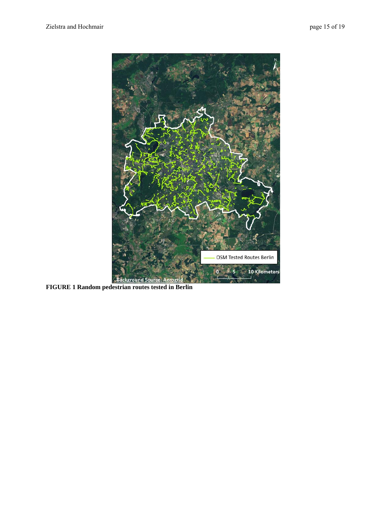

**FIGURE 1 Random pedestrian routes tested in Berlin**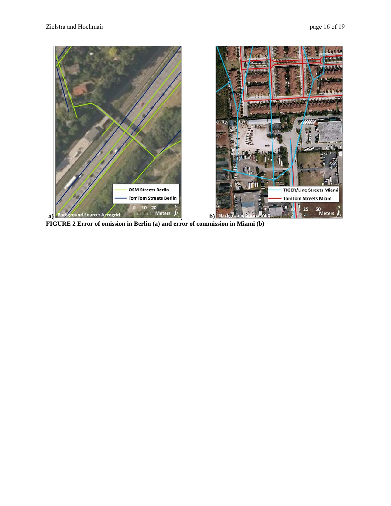

**FIGURE 2 Error of omission in Berlin (a) and error of commission in Miami (b)**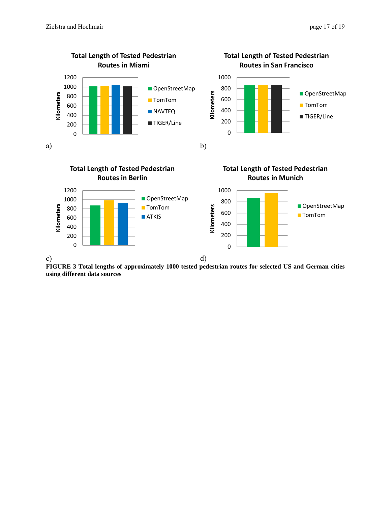



**FIGURE 3 Total lengths of approximately 1000 tested pedestrian routes for selected US and German cities using different data sources**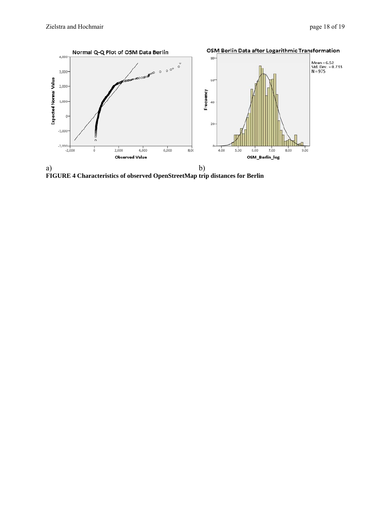

**FIGURE 4 Characteristics of observed OpenStreetMap trip distances for Berlin**